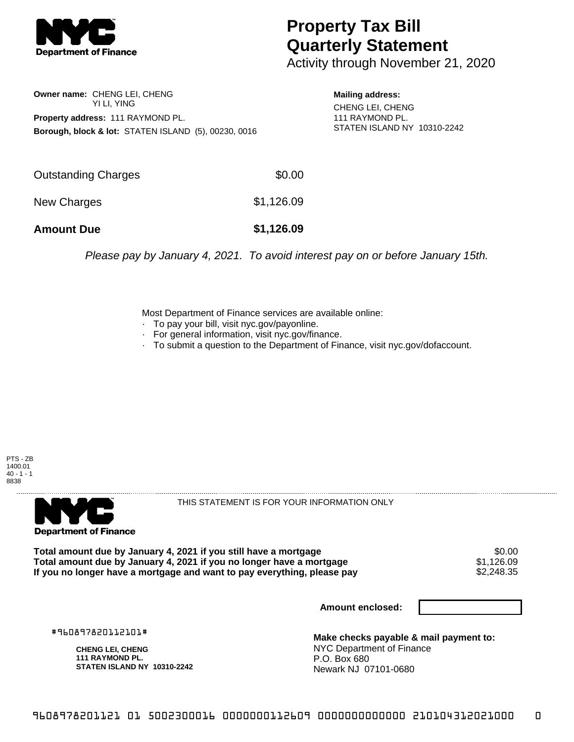

## **Property Tax Bill Quarterly Statement**

Activity through November 21, 2020

**Owner name:** CHENG LEI, CHENG YI LI, YING **Property address:** 111 RAYMOND PL. **Borough, block & lot:** STATEN ISLAND (5), 00230, 0016

**Mailing address:** CHENG LEI, CHENG

111 RAYMOND PL. STATEN ISLAND NY 10310-2242

| <b>Amount Due</b>   | \$1,126.09 |
|---------------------|------------|
| New Charges         | \$1,126.09 |
| Outstanding Charges | \$0.00     |

Please pay by January 4, 2021. To avoid interest pay on or before January 15th.

Most Department of Finance services are available online:

- · To pay your bill, visit nyc.gov/payonline.
- For general information, visit nyc.gov/finance.
- · To submit a question to the Department of Finance, visit nyc.gov/dofaccount.





THIS STATEMENT IS FOR YOUR INFORMATION ONLY

Total amount due by January 4, 2021 if you still have a mortgage \$0.00<br>Total amount due by January 4, 2021 if you no longer have a mortgage \$1.126.09 **Total amount due by January 4, 2021 if you no longer have a mortgage**  $$1,126.09$ **<br>If you no longer have a mortgage and want to pay everything, please pay**  $$2,248.35$ If you no longer have a mortgage and want to pay everything, please pay

**Amount enclosed:**

#960897820112101#

**CHENG LEI, CHENG 111 RAYMOND PL. STATEN ISLAND NY 10310-2242**

**Make checks payable & mail payment to:** NYC Department of Finance P.O. Box 680 Newark NJ 07101-0680